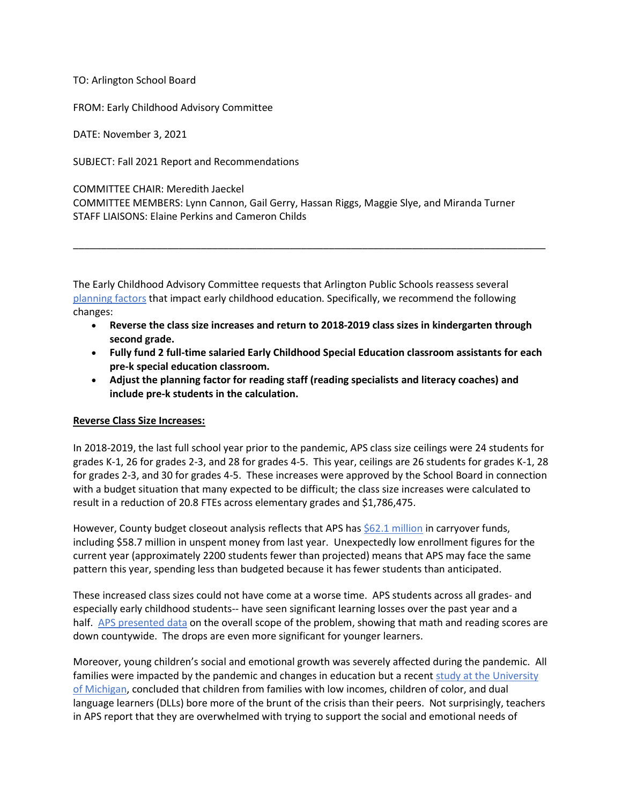TO: Arlington School Board

FROM: Early Childhood Advisory Committee

DATE: November 3, 2021

SUBJECT: Fall 2021 Report and Recommendations

COMMITTEE CHAIR: Meredith Jaeckel

COMMITTEE MEMBERS: Lynn Cannon, Gail Gerry, Hassan Riggs, Maggie Slye, and Miranda Turner STAFF LIAISONS: Elaine Perkins and Cameron Childs

The Early Childhood Advisory Committee requests that Arlington Public Schools reassess several [planning factors](https://www.apsva.us/wp-content/uploads/2021/10/FY-2022-Adopted-Planning-Factors_final.pdf) that impact early childhood education. Specifically, we recommend the following changes:

• **Reverse the class size increases and return to 2018-2019 class sizes in kindergarten through second grade.**

\_\_\_\_\_\_\_\_\_\_\_\_\_\_\_\_\_\_\_\_\_\_\_\_\_\_\_\_\_\_\_\_\_\_\_\_\_\_\_\_\_\_\_\_\_\_\_\_\_\_\_\_\_\_\_\_\_\_\_\_\_\_\_\_\_\_\_\_\_\_\_\_\_\_\_\_\_\_\_\_\_\_\_\_\_

- **Fully fund 2 full-time salaried Early Childhood Special Education classroom assistants for each pre-k special education classroom.**
- **Adjust the planning factor for reading staff (reading specialists and literacy coaches) and include pre-k students in the calculation.**

## **Reverse Class Size Increases:**

In 2018-2019, the last full school year prior to the pandemic, APS class size ceilings were 24 students for grades K-1, 26 for grades 2-3, and 28 for grades 4-5. This year, ceilings are 26 students for grades K-1, 28 for grades 2-3, and 30 for grades 4-5. These increases were approved by the School Board in connection with a budget situation that many expected to be difficult; the class size increases were calculated to result in a reduction of 20.8 FTEs across elementary grades and \$1,786,475.

However, County budget closeout analysis reflects that APS has [\\$62.1 million](https://www.arlingtonva.us/files/sharedassets/public/budget/documents/board_report_47_posted_10-15-2021.pdf) in carryover funds, including \$58.7 million in unspent money from last year. Unexpectedly low enrollment figures for the current year (approximately 2200 students fewer than projected) means that APS may face the same pattern this year, spending less than budgeted because it has fewer students than anticipated.

These increased class sizes could not have come at a worse time. APS students across all grades- and especially early childhood students-- have seen significant learning losses over the past year and a half. [APS presented data](https://www.arlnow.com/2021/08/27/learning-gaps-outdoor-lunch-top-of-mind-for-aps-administrators-parents/) on the overall scope of the problem, showing that math and reading scores are down countywide. The drops are even more significant for younger learners.

Moreover, young children's social and emotional growth was severely affected during the pandemic. All families were impacted by the pandemic and changes in education but a recent study at the University [of Michigan,](https://edpolicy.umich.edu/sites/epi/files/uploads/EPI-UI-Covid%20Synthesis%20Brief%20June%202021.pdf) concluded that children from families with low incomes, children of color, and dual language learners (DLLs) bore more of the brunt of the crisis than their peers. Not surprisingly, teachers in APS report that they are overwhelmed with trying to support the social and emotional needs of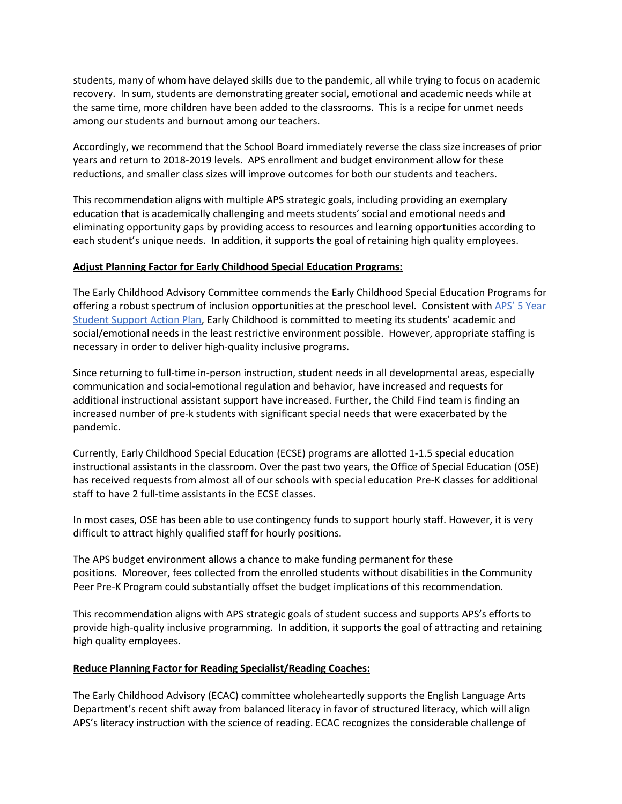students, many of whom have delayed skills due to the pandemic, all while trying to focus on academic recovery. In sum, students are demonstrating greater social, emotional and academic needs while at the same time, more children have been added to the classrooms. This is a recipe for unmet needs among our students and burnout among our teachers.

Accordingly, we recommend that the School Board immediately reverse the class size increases of prior years and return to 2018-2019 levels. APS enrollment and budget environment allow for these reductions, and smaller class sizes will improve outcomes for both our students and teachers.

This recommendation aligns with multiple APS strategic goals, including providing an exemplary education that is academically challenging and meets students' social and emotional needs and eliminating opportunity gaps by providing access to resources and learning opportunities according to each student's unique needs. In addition, it supports the goal of retaining high quality employees.

## **Adjust Planning Factor for Early Childhood Special Education Programs:**

The Early Childhood Advisory Committee commends the Early Childhood Special Education Programs for offering a robust spectrum of inclusion opportunities at the preschool level. Consistent with APS' 5 Year [Student Support Action Plan,](https://www.apsva.us/wp-content/uploads/2020/12/APS-Action-Plan-Final_attachments.pdf) Early Childhood is committed to meeting its students' academic and social/emotional needs in the least restrictive environment possible. However, appropriate staffing is necessary in order to deliver high-quality inclusive programs.

Since returning to full-time in-person instruction, student needs in all developmental areas, especially communication and social-emotional regulation and behavior, have increased and requests for additional instructional assistant support have increased. Further, the Child Find team is finding an increased number of pre-k students with significant special needs that were exacerbated by the pandemic.

Currently, Early Childhood Special Education (ECSE) programs are allotted 1-1.5 special education instructional assistants in the classroom. Over the past two years, the Office of Special Education (OSE) has received requests from almost all of our schools with special education Pre-K classes for additional staff to have 2 full-time assistants in the ECSE classes.

In most cases, OSE has been able to use contingency funds to support hourly staff. However, it is very difficult to attract highly qualified staff for hourly positions.

The APS budget environment allows a chance to make funding permanent for these positions. Moreover, fees collected from the enrolled students without disabilities in the Community Peer Pre-K Program could substantially offset the budget implications of this recommendation.

This recommendation aligns with APS strategic goals of student success and supports APS's efforts to provide high-quality inclusive programming. In addition, it supports the goal of attracting and retaining high quality employees.

## **Reduce Planning Factor for Reading Specialist/Reading Coaches:**

The Early Childhood Advisory (ECAC) committee wholeheartedly supports the English Language Arts Department's recent shift away from balanced literacy in favor of structured literacy, which will align APS's literacy instruction with the science of reading. ECAC recognizes the considerable challenge of